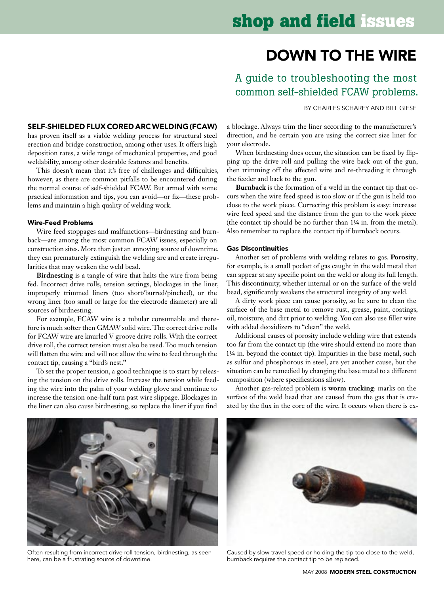# down to the Wire

## A guide to troubleshooting the most common self-shielded FCAW problems.

By Charles Scharfy and Bill Giese

### Self-shielded flux cored arc welding (FCAW)

has proven itself as a viable welding process for structural steel erection and bridge construction, among other uses. It offers high deposition rates, a wide range of mechanical properties, and good weldability, among other desirable features and benefits.

This doesn't mean that it's free of challenges and difficulties, however, as there are common pitfalls to be encountered during the normal course of self-shielded FCAW. But armed with some practical information and tips, you can avoid—or fix—these problems and maintain a high quality of welding work.

#### Wire-Feed Problems

Wire feed stoppages and malfunctions—birdnesting and burnback—are among the most common FCAW issues, especially on construction sites. More than just an annoying source of downtime, they can prematurely extinguish the welding arc and create irregularities that may weaken the weld bead.

**Birdnesting** is a tangle of wire that halts the wire from being fed. Incorrect drive rolls, tension settings, blockages in the liner, improperly trimmed liners (too short/burred/pinched), or the wrong liner (too small or large for the electrode diameter) are all sources of birdnesting.

For example, FCAW wire is a tubular consumable and therefore is much softer then GMAW solid wire. The correct drive rolls for FCAW wire are knurled V groove drive rolls. With the correct drive roll, the correct tension must also be used. Too much tension will flatten the wire and will not allow the wire to feed through the contact tip, causing a "bird's nest**."**

To set the proper tension, a good technique is to start by releasing the tension on the drive rolls. Increase the tension while feeding the wire into the palm of your welding glove and continue to increase the tension one-half turn past wire slippage. Blockages in the liner can also cause birdnesting, so replace the liner if you find

a blockage. Always trim the liner according to the manufacturer's direction, and be certain you are using the correct size liner for your electrode.

When birdnesting does occur, the situation can be fixed by flipping up the drive roll and pulling the wire back out of the gun, then trimming off the affected wire and re-threading it through the feeder and back to the gun.

**Burnback** is the formation of a weld in the contact tip that occurs when the wire feed speed is too slow or if the gun is held too close to the work piece. Correcting this problem is easy: increase wire feed speed and the distance from the gun to the work piece (the contact tip should be no further than 1¼ in. from the metal). Also remember to replace the contact tip if burnback occurs.

#### Gas Discontinuities

Another set of problems with welding relates to gas. **Porosity**, for example, is a small pocket of gas caught in the weld metal that can appear at any specific point on the weld or along its full length. This discontinuity, whether internal or on the surface of the weld bead, significantly weakens the structural integrity of any weld.

A dirty work piece can cause porosity, so be sure to clean the surface of the base metal to remove rust, grease, paint, coatings, oil, moisture, and dirt prior to welding. You can also use filler wire with added deoxidizers to "clean" the weld.

Additional causes of porosity include welding wire that extends too far from the contact tip (the wire should extend no more than 1¼ in. beyond the contact tip). Impurities in the base metal, such as sulfur and phosphorous in steel, are yet another cause, but the situation can be remedied by changing the base metal to a different composition (where specifications allow).

Another gas-related problem is **worm tracking**: marks on the surface of the weld bead that are caused from the gas that is created by the flux in the core of the wire. It occurs when there is ex-



Often resulting from incorrect drive roll tension, birdnesting, as seen here, can be a frustrating source of downtime.



Caused by slow travel speed or holding the tip too close to the weld, burnback requires the contact tip to be replaced.